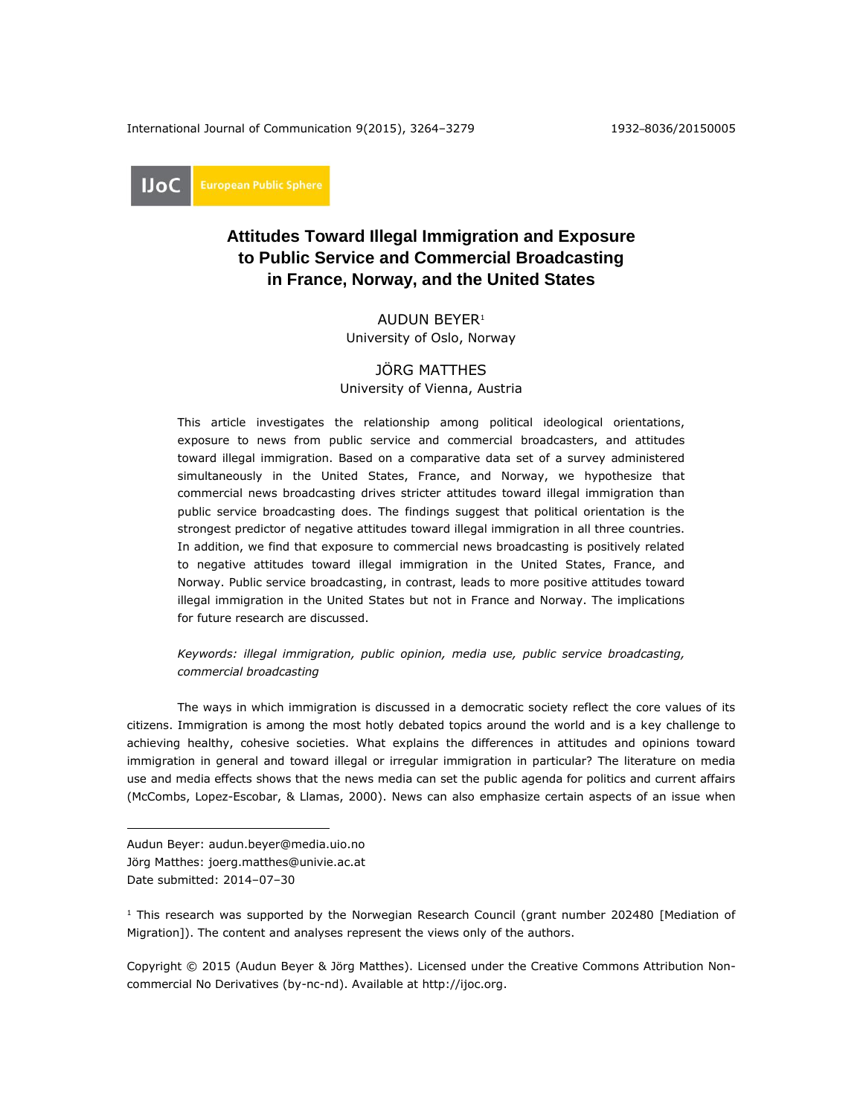International Journal of Communication 9(2015), 3264–3279 1932–8036/20150005

IJoC

# **Attitudes Toward Illegal Immigration and Exposure to Public Service and Commercial Broadcasting in France, Norway, and the United States**

AUDUN BEYER<sup>1</sup> University of Oslo, Norway

# JÖRG MATTHES

University of Vienna, Austria

This article investigates the relationship among political ideological orientations, exposure to news from public service and commercial broadcasters, and attitudes toward illegal immigration. Based on a comparative data set of a survey administered simultaneously in the United States, France, and Norway, we hypothesize that commercial news broadcasting drives stricter attitudes toward illegal immigration than public service broadcasting does. The findings suggest that political orientation is the strongest predictor of negative attitudes toward illegal immigration in all three countries. In addition, we find that exposure to commercial news broadcasting is positively related to negative attitudes toward illegal immigration in the United States, France, and Norway. Public service broadcasting, in contrast, leads to more positive attitudes toward illegal immigration in the United States but not in France and Norway. The implications for future research are discussed.

# *Keywords: illegal immigration, public opinion, media use, public service broadcasting, commercial broadcasting*

The ways in which immigration is discussed in a democratic society reflect the core values of its citizens. Immigration is among the most hotly debated topics around the world and is a key challenge to achieving healthy, cohesive societies. What explains the differences in attitudes and opinions toward immigration in general and toward illegal or irregular immigration in particular? The literature on media use and media effects shows that the news media can set the public agenda for politics and current affairs (McCombs, Lopez-Escobar, & Llamas, 2000). News can also emphasize certain aspects of an issue when

 $\overline{a}$ 

Copyright © 2015 (Audun Beyer & Jörg Matthes). Licensed under the Creative Commons Attribution Noncommercial No Derivatives (by-nc-nd). Available at [http://ijoc.org.](http://ijoc.org/)

Audun Beyer: audun.beyer@media.uio.no

Jörg Matthes: joerg.matthes@univie.ac.at

Date submitted: 2014–07–30

<sup>&</sup>lt;sup>1</sup> This research was supported by the Norwegian Research Council (grant number 202480 [Mediation of Migration]). The content and analyses represent the views only of the authors.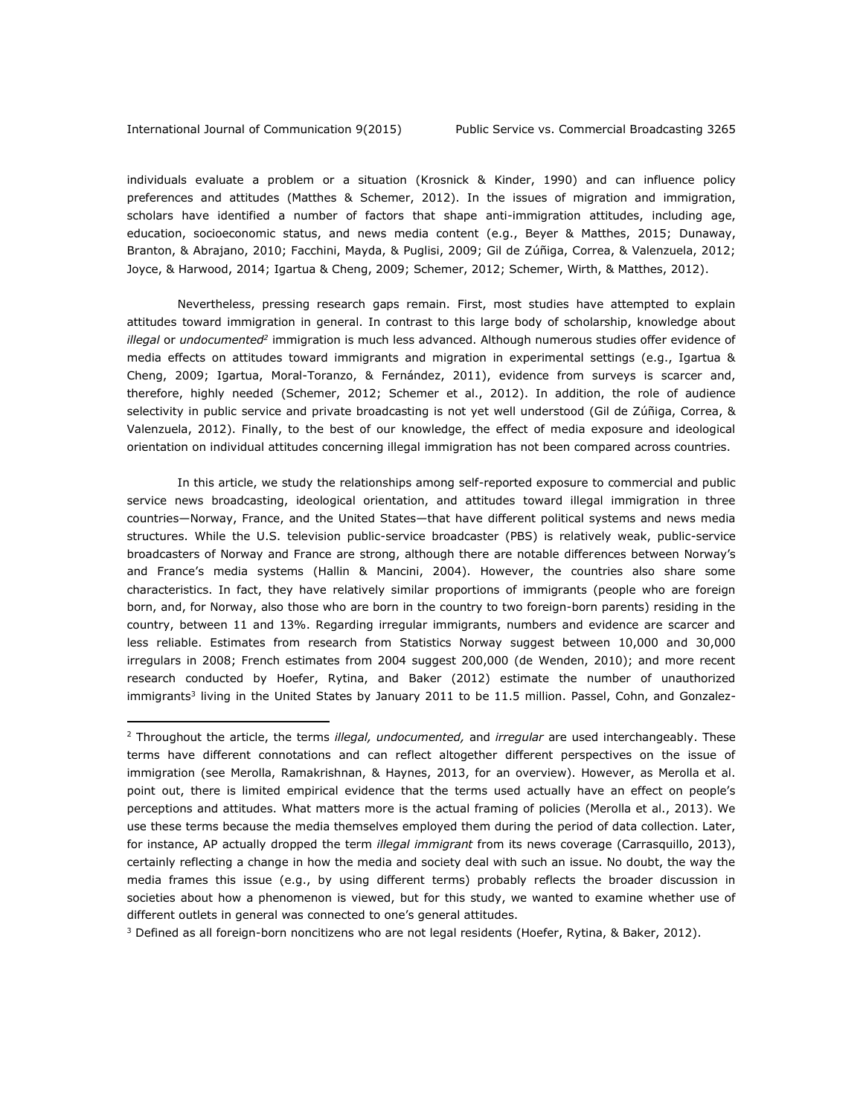$\overline{a}$ 

individuals evaluate a problem or a situation (Krosnick & Kinder, 1990) and can influence policy preferences and attitudes (Matthes & Schemer, 2012). In the issues of migration and immigration, scholars have identified a number of factors that shape anti-immigration attitudes, including age, education, socioeconomic status, and news media content (e.g., Beyer & Matthes, 2015; Dunaway, Branton, & Abrajano, 2010; Facchini, Mayda, & Puglisi, 2009; Gil de Zúñiga, Correa, & Valenzuela, 2012; Joyce, & Harwood, 2014; Igartua & Cheng, 2009; Schemer, 2012; Schemer, Wirth, & Matthes, 2012).

Nevertheless, pressing research gaps remain. First, most studies have attempted to explain attitudes toward immigration in general. In contrast to this large body of scholarship, knowledge about *illegal* or *undocumented<sup>2</sup>* immigration is much less advanced. Although numerous studies offer evidence of media effects on attitudes toward immigrants and migration in experimental settings (e.g., Igartua & Cheng, 2009; Igartua, Moral-Toranzo, & Fernández, 2011), evidence from surveys is scarcer and, therefore, highly needed (Schemer, 2012; Schemer et al., 2012). In addition, the role of audience selectivity in public service and private broadcasting is not yet well understood (Gil de Zúñiga, Correa, & Valenzuela, 2012). Finally, to the best of our knowledge, the effect of media exposure and ideological orientation on individual attitudes concerning illegal immigration has not been compared across countries.

In this article, we study the relationships among self-reported exposure to commercial and public service news broadcasting, ideological orientation, and attitudes toward illegal immigration in three countries—Norway, France, and the United States—that have different political systems and news media structures. While the U.S. television public-service broadcaster (PBS) is relatively weak, public-service broadcasters of Norway and France are strong, although there are notable differences between Norway's and France's media systems (Hallin & Mancini, 2004). However, the countries also share some characteristics. In fact, they have relatively similar proportions of immigrants (people who are foreign born, and, for Norway, also those who are born in the country to two foreign-born parents) residing in the country, between 11 and 13%. Regarding irregular immigrants, numbers and evidence are scarcer and less reliable. Estimates from research from Statistics Norway suggest between 10,000 and 30,000 irregulars in 2008; French estimates from 2004 suggest 200,000 (de Wenden, 2010); and more recent research conducted by Hoefer, Rytina, and Baker (2012) estimate the number of unauthorized immigrants<sup>3</sup> living in the United States by January 2011 to be 11.5 million. Passel, Cohn, and Gonzalez-

 $3$  Defined as all foreign-born noncitizens who are not legal residents (Hoefer, Rytina, & Baker, 2012).

<sup>2</sup> Throughout the article, the terms *illegal, undocumented,* and *irregular* are used interchangeably. These terms have different connotations and can reflect altogether different perspectives on the issue of immigration (see Merolla, Ramakrishnan, & Haynes, 2013, for an overview). However, as Merolla et al. point out, there is limited empirical evidence that the terms used actually have an effect on people's perceptions and attitudes. What matters more is the actual framing of policies (Merolla et al., 2013). We use these terms because the media themselves employed them during the period of data collection. Later, for instance, AP actually dropped the term *illegal immigrant* from its news coverage (Carrasquillo, 2013), certainly reflecting a change in how the media and society deal with such an issue. No doubt, the way the media frames this issue (e.g., by using different terms) probably reflects the broader discussion in societies about how a phenomenon is viewed, but for this study, we wanted to examine whether use of different outlets in general was connected to one's general attitudes.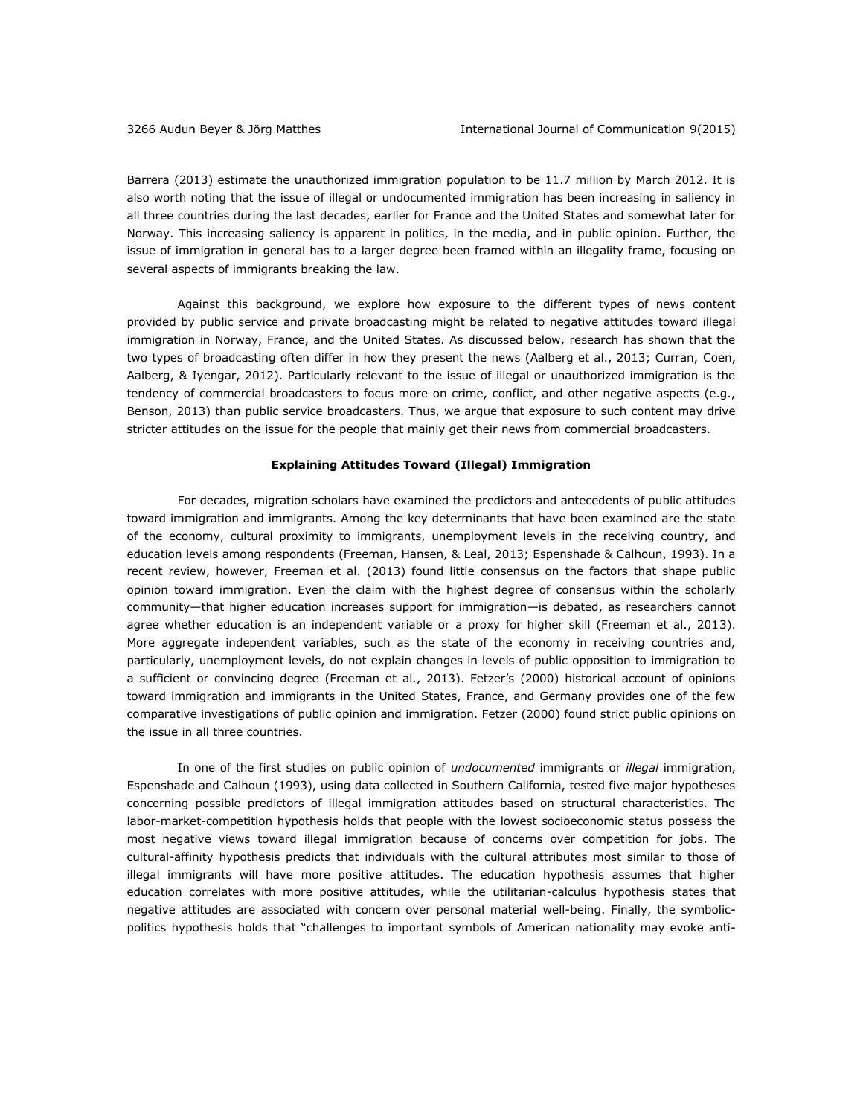Barrera (2013) estimate the unauthorized immigration population to be 11.7 million by March 2012. It is also worth noting that the issue of illegal or undocumented immigration has been increasing in saliency in all three countries during the last decades, earlier for France and the United States and somewhat later for Norway. This increasing saliency is apparent in politics, in the media, and in public opinion. Further, the issue of immigration in general has to a larger degree been framed within an illegality frame, focusing on several aspects of immigrants breaking the law.

Against this background, we explore how exposure to the different types of news content provided by public service and private broadcasting might be related to negative attitudes toward illegal immigration in Norway, France, and the United States. As discussed below, research has shown that the two types of broadcasting often differ in how they present the news (Aalberg et al., 2013; Curran, Coen, Aalberg, & Iyengar, 2012). Particularly relevant to the issue of illegal or unauthorized immigration is the tendency of commercial broadcasters to focus more on crime, conflict, and other negative aspects (e.g., Benson, 2013) than public service broadcasters. Thus, we argue that exposure to such content may drive stricter attitudes on the issue for the people that mainly get their news from commercial broadcasters.

## **Explaining Attitudes Toward (Illegal) Immigration**

For decades, migration scholars have examined the predictors and antecedents of public attitudes toward immigration and immigrants. Among the key determinants that have been examined are the state of the economy, cultural proximity to immigrants, unemployment levels in the receiving country, and education levels among respondents (Freeman, Hansen, & Leal, 2013; Espenshade & Calhoun, 1993). In a recent review, however, Freeman et al. (2013) found little consensus on the factors that shape public opinion toward immigration. Even the claim with the highest degree of consensus within the scholarly community—that higher education increases support for immigration—is debated, as researchers cannot agree whether education is an independent variable or a proxy for higher skill (Freeman et al., 2013). More aggregate independent variables, such as the state of the economy in receiving countries and, particularly, unemployment levels, do not explain changes in levels of public opposition to immigration to a sufficient or convincing degree (Freeman et al., 2013). Fetzer's (2000) historical account of opinions toward immigration and immigrants in the United States, France, and Germany provides one of the few comparative investigations of public opinion and immigration. Fetzer (2000) found strict public opinions on the issue in all three countries.

In one of the first studies on public opinion of *undocumented* immigrants or *illegal* immigration, Espenshade and Calhoun (1993), using data collected in Southern California, tested five major hypotheses concerning possible predictors of illegal immigration attitudes based on structural characteristics. The labor-market-competition hypothesis holds that people with the lowest socioeconomic status possess the most negative views toward illegal immigration because of concerns over competition for jobs. The cultural-affinity hypothesis predicts that individuals with the cultural attributes most similar to those of illegal immigrants will have more positive attitudes. The education hypothesis assumes that higher education correlates with more positive attitudes, while the utilitarian-calculus hypothesis states that negative attitudes are associated with concern over personal material well-being. Finally, the symbolicpolitics hypothesis holds that "challenges to important symbols of American nationality may evoke anti-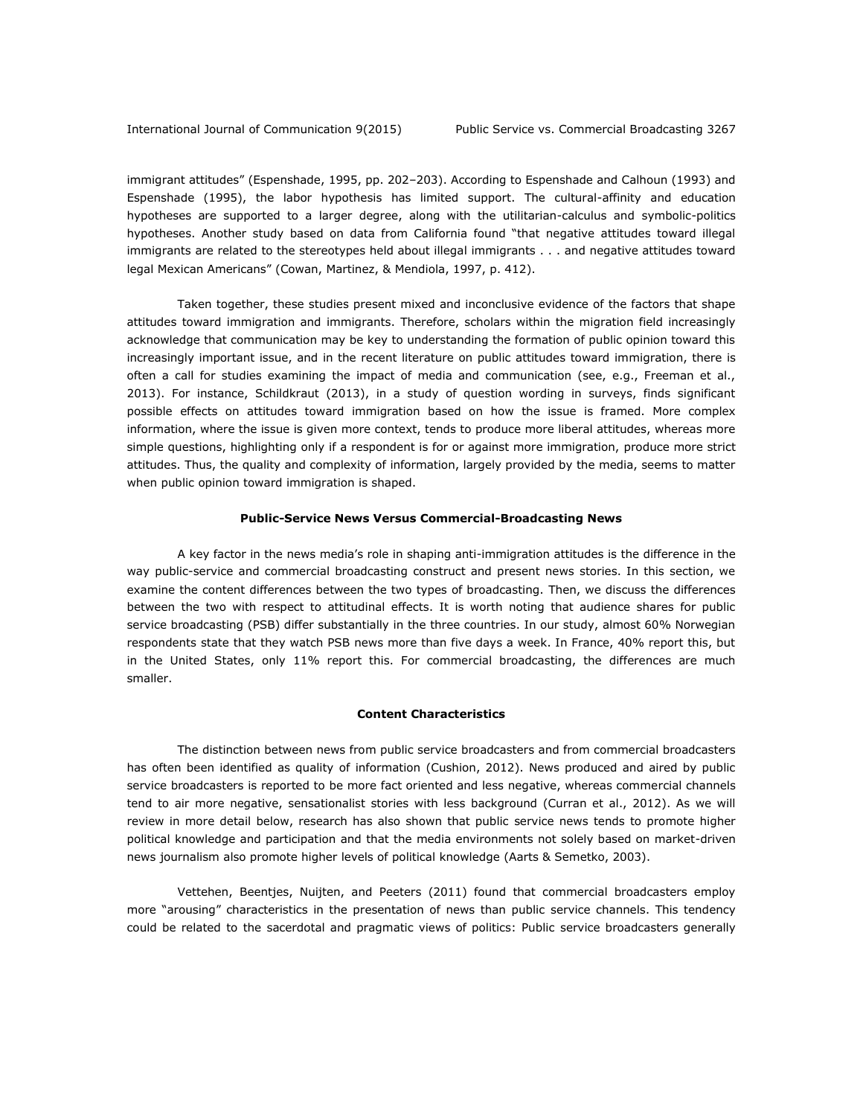immigrant attitudes" (Espenshade, 1995, pp. 202–203). According to Espenshade and Calhoun (1993) and Espenshade (1995), the labor hypothesis has limited support. The cultural-affinity and education hypotheses are supported to a larger degree, along with the utilitarian-calculus and symbolic-politics hypotheses. Another study based on data from California found "that negative attitudes toward illegal immigrants are related to the stereotypes held about illegal immigrants . . . and negative attitudes toward legal Mexican Americans" (Cowan, Martinez, & Mendiola, 1997, p. 412).

Taken together, these studies present mixed and inconclusive evidence of the factors that shape attitudes toward immigration and immigrants. Therefore, scholars within the migration field increasingly acknowledge that communication may be key to understanding the formation of public opinion toward this increasingly important issue, and in the recent literature on public attitudes toward immigration, there is often a call for studies examining the impact of media and communication (see, e.g., Freeman et al., 2013). For instance, Schildkraut (2013), in a study of question wording in surveys, finds significant possible effects on attitudes toward immigration based on how the issue is framed. More complex information, where the issue is given more context, tends to produce more liberal attitudes, whereas more simple questions, highlighting only if a respondent is for or against more immigration, produce more strict attitudes. Thus, the quality and complexity of information, largely provided by the media, seems to matter when public opinion toward immigration is shaped.

## **Public-Service News Versus Commercial-Broadcasting News**

A key factor in the news media's role in shaping anti-immigration attitudes is the difference in the way public-service and commercial broadcasting construct and present news stories. In this section, we examine the content differences between the two types of broadcasting. Then, we discuss the differences between the two with respect to attitudinal effects. It is worth noting that audience shares for public service broadcasting (PSB) differ substantially in the three countries. In our study, almost 60% Norwegian respondents state that they watch PSB news more than five days a week. In France, 40% report this, but in the United States, only 11% report this. For commercial broadcasting, the differences are much smaller.

# **Content Characteristics**

The distinction between news from public service broadcasters and from commercial broadcasters has often been identified as quality of information (Cushion, 2012). News produced and aired by public service broadcasters is reported to be more fact oriented and less negative, whereas commercial channels tend to air more negative, sensationalist stories with less background (Curran et al., 2012). As we will review in more detail below, research has also shown that public service news tends to promote higher political knowledge and participation and that the media environments not solely based on market-driven news journalism also promote higher levels of political knowledge (Aarts & Semetko, 2003).

Vettehen, Beentjes, Nuijten, and Peeters (2011) found that commercial broadcasters employ more "arousing" characteristics in the presentation of news than public service channels. This tendency could be related to the sacerdotal and pragmatic views of politics: Public service broadcasters generally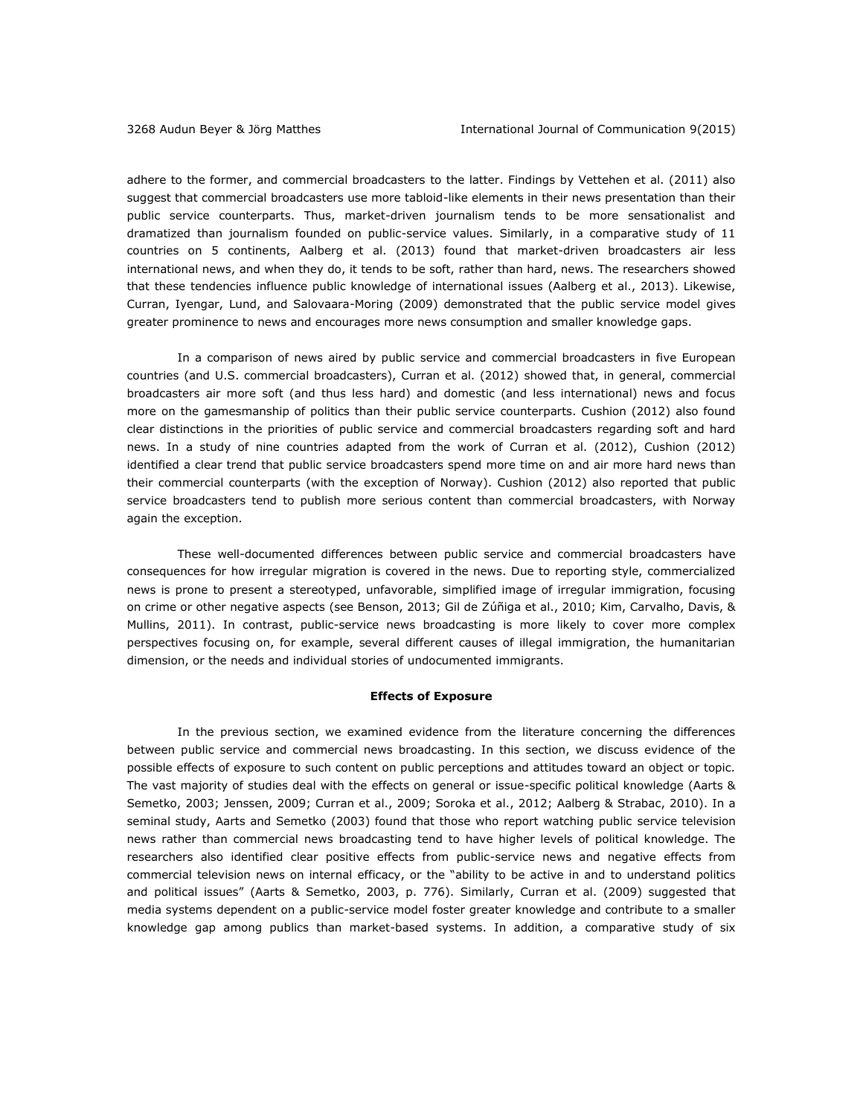adhere to the former, and commercial broadcasters to the latter. Findings by Vettehen et al. (2011) also suggest that commercial broadcasters use more tabloid-like elements in their news presentation than their public service counterparts. Thus, market-driven journalism tends to be more sensationalist and dramatized than journalism founded on public-service values. Similarly, in a comparative study of 11 countries on 5 continents, Aalberg et al. (2013) found that market-driven broadcasters air less international news, and when they do, it tends to be soft, rather than hard, news. The researchers showed that these tendencies influence public knowledge of international issues (Aalberg et al., 2013). Likewise, Curran, Iyengar, Lund, and Salovaara-Moring (2009) demonstrated that the public service model gives greater prominence to news and encourages more news consumption and smaller knowledge gaps.

In a comparison of news aired by public service and commercial broadcasters in five European countries (and U.S. commercial broadcasters), Curran et al. (2012) showed that, in general, commercial broadcasters air more soft (and thus less hard) and domestic (and less international) news and focus more on the gamesmanship of politics than their public service counterparts. Cushion (2012) also found clear distinctions in the priorities of public service and commercial broadcasters regarding soft and hard news. In a study of nine countries adapted from the work of Curran et al. (2012), Cushion (2012) identified a clear trend that public service broadcasters spend more time on and air more hard news than their commercial counterparts (with the exception of Norway). Cushion (2012) also reported that public service broadcasters tend to publish more serious content than commercial broadcasters, with Norway again the exception.

These well-documented differences between public service and commercial broadcasters have consequences for how irregular migration is covered in the news. Due to reporting style, commercialized news is prone to present a stereotyped, unfavorable, simplified image of irregular immigration, focusing on crime or other negative aspects (see Benson, 2013; Gil de Zúñiga et al., 2010; Kim, Carvalho, Davis, & Mullins, 2011). In contrast, public-service news broadcasting is more likely to cover more complex perspectives focusing on, for example, several different causes of illegal immigration, the humanitarian dimension, or the needs and individual stories of undocumented immigrants.

# **Effects of Exposure**

In the previous section, we examined evidence from the literature concerning the differences between public service and commercial news broadcasting. In this section, we discuss evidence of the possible effects of exposure to such content on public perceptions and attitudes toward an object or topic. The vast majority of studies deal with the effects on general or issue-specific political knowledge (Aarts & Semetko, 2003; Jenssen, 2009; Curran et al., 2009; Soroka et al., 2012; Aalberg & Strabac, 2010). In a seminal study, Aarts and Semetko (2003) found that those who report watching public service television news rather than commercial news broadcasting tend to have higher levels of political knowledge. The researchers also identified clear positive effects from public-service news and negative effects from commercial television news on internal efficacy, or the "ability to be active in and to understand politics and political issues" (Aarts & Semetko, 2003, p. 776). Similarly, Curran et al. (2009) suggested that media systems dependent on a public-service model foster greater knowledge and contribute to a smaller knowledge gap among publics than market-based systems. In addition, a comparative study of six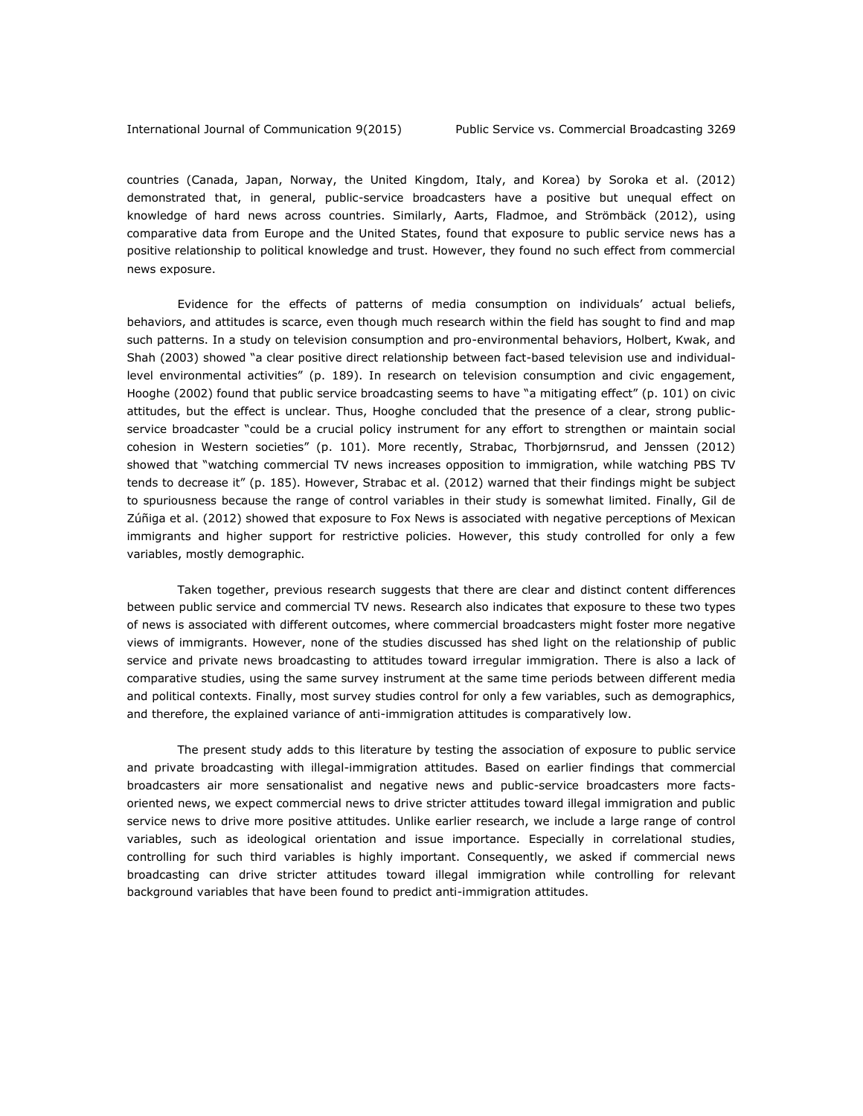countries (Canada, Japan, Norway, the United Kingdom, Italy, and Korea) by Soroka et al. (2012) demonstrated that, in general, public-service broadcasters have a positive but unequal effect on knowledge of hard news across countries. Similarly, Aarts, Fladmoe, and Strömbäck (2012), using comparative data from Europe and the United States, found that exposure to public service news has a positive relationship to political knowledge and trust. However, they found no such effect from commercial news exposure.

Evidence for the effects of patterns of media consumption on individuals' actual beliefs, behaviors, and attitudes is scarce, even though much research within the field has sought to find and map such patterns. In a study on television consumption and pro-environmental behaviors, Holbert, Kwak, and Shah (2003) showed "a clear positive direct relationship between fact-based television use and individuallevel environmental activities" (p. 189). In research on television consumption and civic engagement, Hooghe (2002) found that public service broadcasting seems to have "a mitigating effect" (p. 101) on civic attitudes, but the effect is unclear. Thus, Hooghe concluded that the presence of a clear, strong publicservice broadcaster "could be a crucial policy instrument for any effort to strengthen or maintain social cohesion in Western societies" (p. 101). More recently, Strabac, Thorbjørnsrud, and Jenssen (2012) showed that "watching commercial TV news increases opposition to immigration, while watching PBS TV tends to decrease it" (p. 185). However, Strabac et al. (2012) warned that their findings might be subject to spuriousness because the range of control variables in their study is somewhat limited. Finally, Gil de Zúñiga et al. (2012) showed that exposure to Fox News is associated with negative perceptions of Mexican immigrants and higher support for restrictive policies. However, this study controlled for only a few variables, mostly demographic.

Taken together, previous research suggests that there are clear and distinct content differences between public service and commercial TV news. Research also indicates that exposure to these two types of news is associated with different outcomes, where commercial broadcasters might foster more negative views of immigrants. However, none of the studies discussed has shed light on the relationship of public service and private news broadcasting to attitudes toward irregular immigration. There is also a lack of comparative studies, using the same survey instrument at the same time periods between different media and political contexts. Finally, most survey studies control for only a few variables, such as demographics, and therefore, the explained variance of anti-immigration attitudes is comparatively low.

The present study adds to this literature by testing the association of exposure to public service and private broadcasting with illegal-immigration attitudes. Based on earlier findings that commercial broadcasters air more sensationalist and negative news and public-service broadcasters more factsoriented news, we expect commercial news to drive stricter attitudes toward illegal immigration and public service news to drive more positive attitudes. Unlike earlier research, we include a large range of control variables, such as ideological orientation and issue importance. Especially in correlational studies, controlling for such third variables is highly important. Consequently, we asked if commercial news broadcasting can drive stricter attitudes toward illegal immigration while controlling for relevant background variables that have been found to predict anti-immigration attitudes.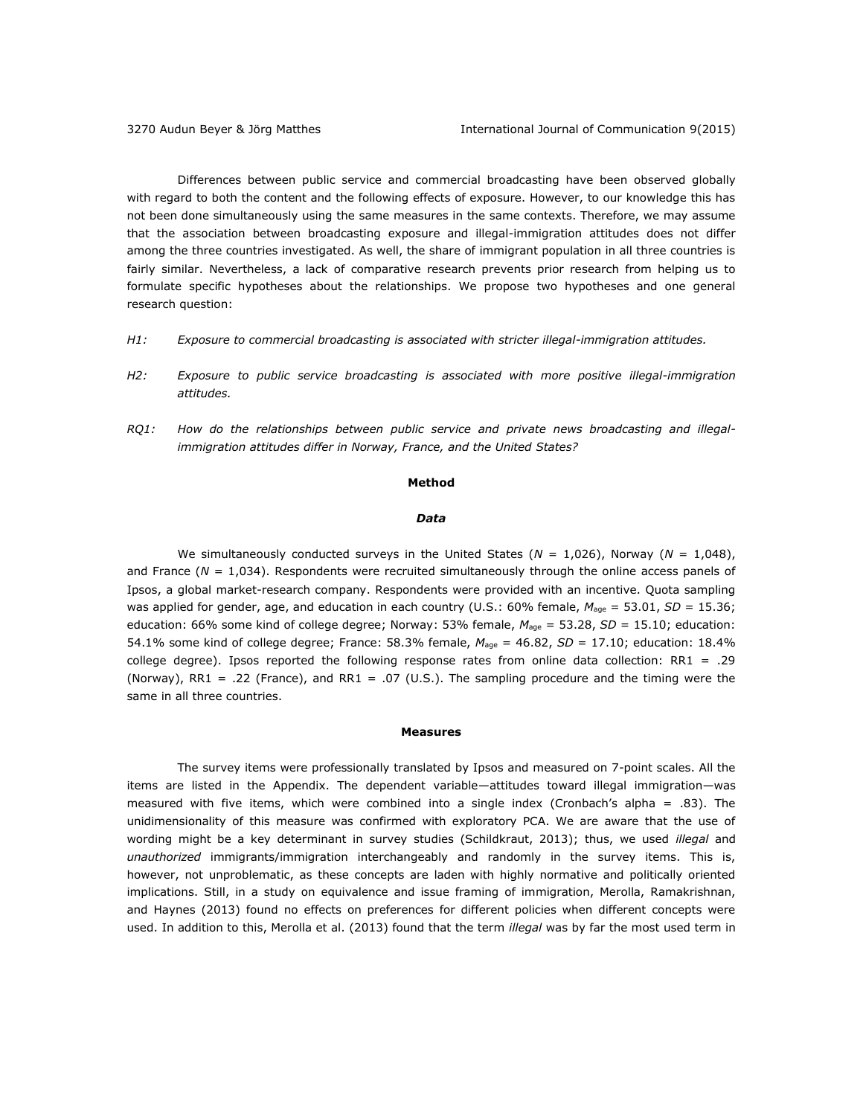Differences between public service and commercial broadcasting have been observed globally with regard to both the content and the following effects of exposure. However, to our knowledge this has not been done simultaneously using the same measures in the same contexts. Therefore, we may assume that the association between broadcasting exposure and illegal-immigration attitudes does not differ among the three countries investigated. As well, the share of immigrant population in all three countries is fairly similar. Nevertheless, a lack of comparative research prevents prior research from helping us to formulate specific hypotheses about the relationships. We propose two hypotheses and one general research question:

- *H1: Exposure to commercial broadcasting is associated with stricter illegal-immigration attitudes.*
- *H2: Exposure to public service broadcasting is associated with more positive illegal-immigration attitudes.*
- *RQ1: How do the relationships between public service and private news broadcasting and illegalimmigration attitudes differ in Norway, France, and the United States?*

#### **Method**

## *Data*

We simultaneously conducted surveys in the United States (*N* = 1,026), Norway (*N* = 1,048), and France ( $N = 1.034$ ). Respondents were recruited simultaneously through the online access panels of Ipsos, a global market-research company. Respondents were provided with an incentive. Quota sampling was applied for gender, age, and education in each country (U.S.: 60% female,  $M_{age} = 53.01$ ,  $SD = 15.36$ ; education: 66% some kind of college degree; Norway: 53% female, *M*age = 53.28, *SD* = 15.10; education: 54.1% some kind of college degree; France: 58.3% female, *M*age = 46.82, *SD* = 17.10; education: 18.4% college degree). Ipsos reported the following response rates from online data collection:  $RR1 = .29$ (Norway), RR1 = .22 (France), and RR1 = .07 (U.S.). The sampling procedure and the timing were the same in all three countries.

### **Measures**

The survey items were professionally translated by Ipsos and measured on 7-point scales. All the items are listed in the Appendix. The dependent variable—attitudes toward illegal immigration—was measured with five items, which were combined into a single index (Cronbach's alpha = .83). The unidimensionality of this measure was confirmed with exploratory PCA. We are aware that the use of wording might be a key determinant in survey studies (Schildkraut, 2013); thus, we used *illegal* and *unauthorized* immigrants/immigration interchangeably and randomly in the survey items. This is, however, not unproblematic, as these concepts are laden with highly normative and politically oriented implications. Still, in a study on equivalence and issue framing of immigration, Merolla, Ramakrishnan, and Haynes (2013) found no effects on preferences for different policies when different concepts were used. In addition to this, Merolla et al. (2013) found that the term *illegal* was by far the most used term in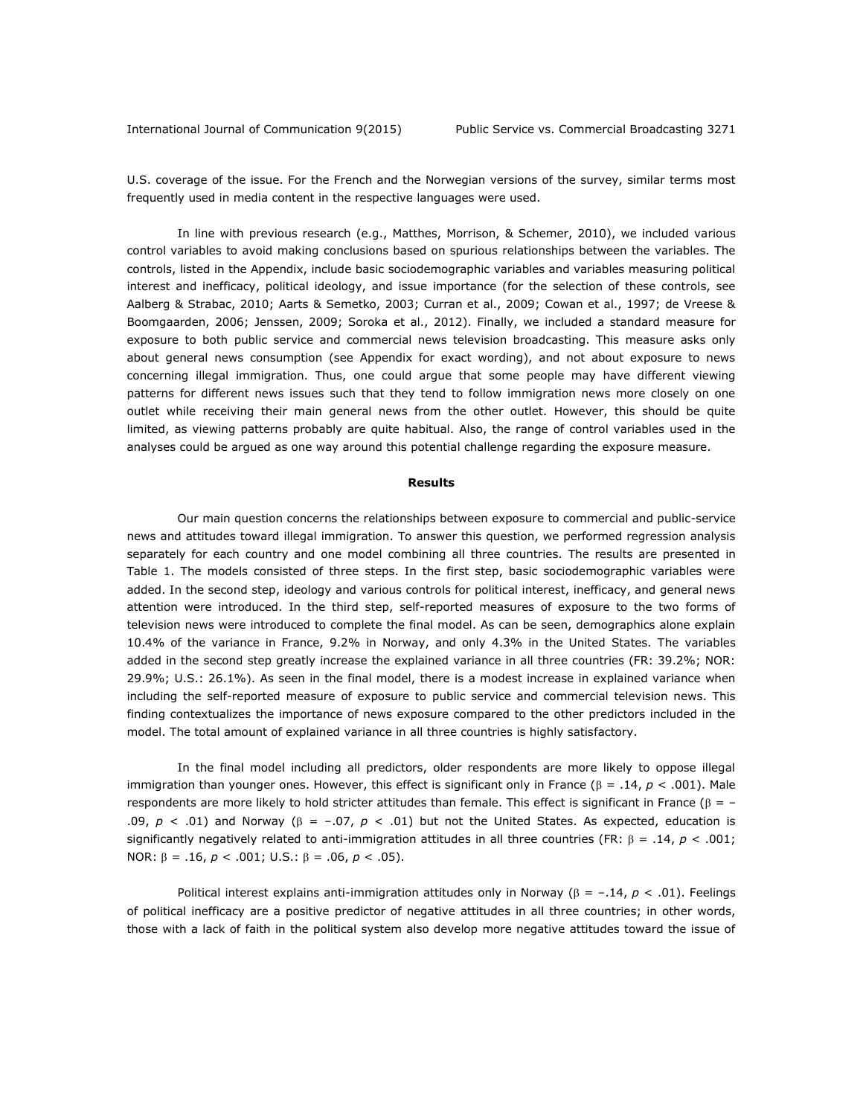U.S. coverage of the issue. For the French and the Norwegian versions of the survey, similar terms most frequently used in media content in the respective languages were used.

In line with previous research (e.g., Matthes, Morrison, & Schemer, 2010), we included various control variables to avoid making conclusions based on spurious relationships between the variables. The controls, listed in the Appendix, include basic sociodemographic variables and variables measuring political interest and inefficacy, political ideology, and issue importance (for the selection of these controls, see Aalberg & Strabac, 2010; Aarts & Semetko, 2003; Curran et al., 2009; Cowan et al., 1997; de Vreese & Boomgaarden, 2006; Jenssen, 2009; Soroka et al., 2012). Finally, we included a standard measure for exposure to both public service and commercial news television broadcasting. This measure asks only about general news consumption (see Appendix for exact wording), and not about exposure to news concerning illegal immigration. Thus, one could argue that some people may have different viewing patterns for different news issues such that they tend to follow immigration news more closely on one outlet while receiving their main general news from the other outlet. However, this should be quite limited, as viewing patterns probably are quite habitual. Also, the range of control variables used in the analyses could be argued as one way around this potential challenge regarding the exposure measure.

#### **Results**

Our main question concerns the relationships between exposure to commercial and public-service news and attitudes toward illegal immigration. To answer this question, we performed regression analysis separately for each country and one model combining all three countries. The results are presented in Table 1. The models consisted of three steps. In the first step, basic sociodemographic variables were added. In the second step, ideology and various controls for political interest, inefficacy, and general news attention were introduced. In the third step, self-reported measures of exposure to the two forms of television news were introduced to complete the final model. As can be seen, demographics alone explain 10.4% of the variance in France, 9.2% in Norway, and only 4.3% in the United States. The variables added in the second step greatly increase the explained variance in all three countries (FR: 39.2%; NOR: 29.9%; U.S.: 26.1%). As seen in the final model, there is a modest increase in explained variance when including the self-reported measure of exposure to public service and commercial television news. This finding contextualizes the importance of news exposure compared to the other predictors included in the model. The total amount of explained variance in all three countries is highly satisfactory.

In the final model including all predictors, older respondents are more likely to oppose illegal immigration than younger ones. However, this effect is significant only in France ( $\beta = .14$ ,  $p < .001$ ). Male respondents are more likely to hold stricter attitudes than female. This effect is significant in France ( $\beta = -$ .09,  $p < .01$ ) and Norway ( $\beta = -.07$ ,  $p < .01$ ) but not the United States. As expected, education is significantly negatively related to anti-immigration attitudes in all three countries (FR:  $\beta = .14$ ,  $p < .001$ ; NOR:  $\beta = .16$ ,  $p < .001$ ; U.S.:  $\beta = .06$ ,  $p < .05$ ).

Political interest explains anti-immigration attitudes only in Norway ( $\beta = -.14$ ,  $p < .01$ ). Feelings of political inefficacy are a positive predictor of negative attitudes in all three countries; in other words, those with a lack of faith in the political system also develop more negative attitudes toward the issue of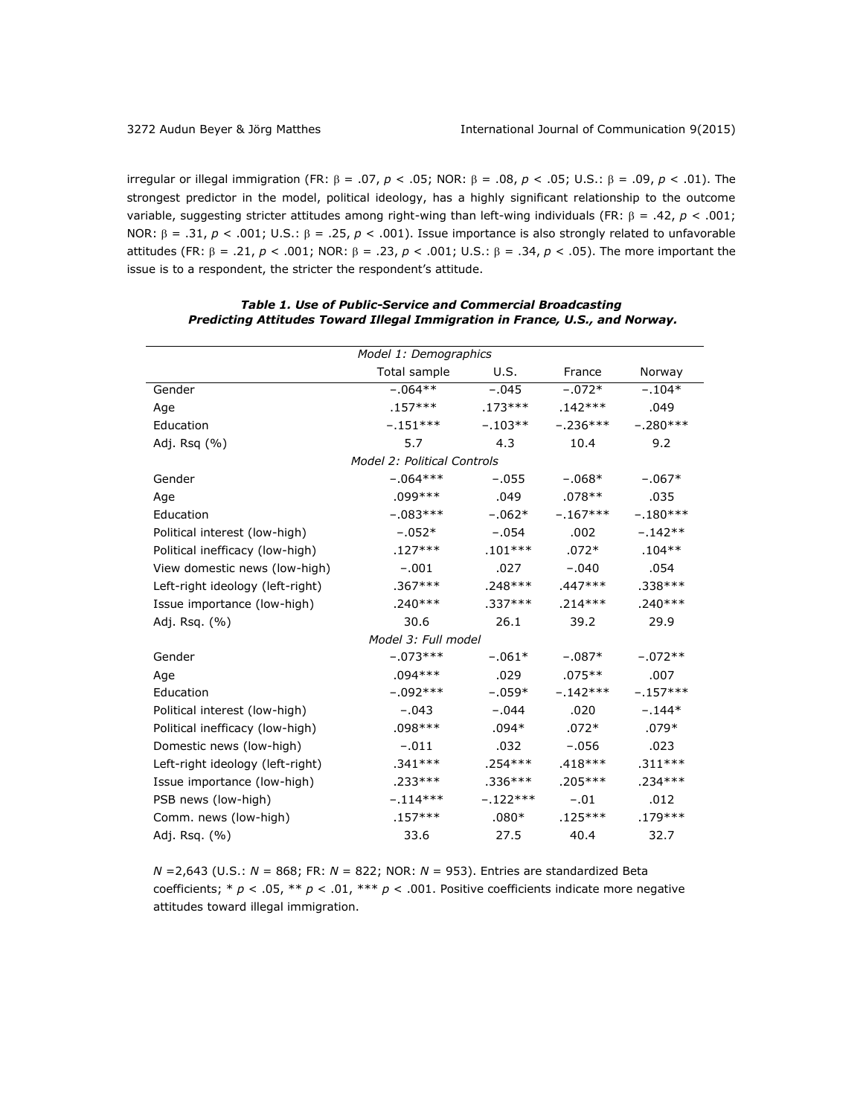irregular or illegal immigration (FR:  $\beta = .07$ ,  $p < .05$ ; NOR:  $\beta = .08$ ,  $p < .05$ ; U.S.:  $\beta = .09$ ,  $p < .01$ ). The strongest predictor in the model, political ideology, has a highly significant relationship to the outcome variable, suggesting stricter attitudes among right-wing than left-wing individuals (FR:  $\beta = .42$ ,  $p < .001$ ; NOR:  $\beta = .31$ ,  $p < .001$ ; U.S.:  $\beta = .25$ ,  $p < .001$ ). Issue importance is also strongly related to unfavorable attitudes (FR: β = .21, *p* < .001; NOR: β = .23, *p* < .001; U.S.: β = .34, *p* < .05). The more important the issue is to a respondent, the stricter the respondent's attitude.

| Model 1: Demographics              |              |            |            |            |
|------------------------------------|--------------|------------|------------|------------|
|                                    | Total sample | U.S.       | France     | Norway     |
| Gender                             | $-.064**$    | $-.045$    | $-.072*$   | $-.104*$   |
| Age                                | $.157***$    | $.173***$  | $.142***$  | .049       |
| Education                          | $-.151***$   | $-.103**$  | $-.236***$ | $-.280***$ |
| Adj. Rsq (%)                       | 5.7          | 4.3        | 10.4       | 9.2        |
| <b>Model 2: Political Controls</b> |              |            |            |            |
| Gender                             | $-.064***$   | $-.055$    | $-.068*$   | $-.067*$   |
| Age                                | .099***      | .049       | $.078**$   | .035       |
| Education                          | $-.083***$   | $-.062*$   | $-.167***$ | $-.180***$ |
| Political interest (low-high)      | $-.052*$     | $-.054$    | .002       | $-.142**$  |
| Political inefficacy (low-high)    | $.127***$    | $.101***$  | $.072*$    | $.104**$   |
| View domestic news (low-high)      | $-.001$      | .027       | $-.040$    | .054       |
| Left-right ideology (left-right)   | $.367***$    | $.248***$  | $.447***$  | $.338***$  |
| Issue importance (low-high)        | $.240***$    | $.337***$  | $.214***$  | $.240***$  |
| Adj. Rsq. (%)                      | 30.6         | 26.1       | 39.2       | 29.9       |
| Model 3: Full model                |              |            |            |            |
| Gender                             | $-.073***$   | $-.061*$   | $-.087*$   | $-.072**$  |
| Age                                | .094***      | .029       | $.075**$   | .007       |
| Education                          | $-.092***$   | $-.059*$   | $-.142***$ | $-.157***$ |
| Political interest (low-high)      | $-.043$      | $-.044$    | .020       | $-.144*$   |
| Political inefficacy (low-high)    | $.098***$    | $.094*$    | $.072*$    | $.079*$    |
| Domestic news (low-high)           | $-.011$      | .032       | $-.056$    | .023       |
| Left-right ideology (left-right)   | .341***      | .254***    | $.418***$  | $.311***$  |
| Issue importance (low-high)        | .233***      | $.336***$  | .205 ***   | $.234***$  |
| PSB news (low-high)                | $-.114***$   | $-.122***$ | $-.01$     | .012       |
| Comm. news (low-high)              | $.157***$    | $.080*$    | $.125***$  | $.179***$  |
| Adj. Rsq. (%)                      | 33.6         | 27.5       | 40.4       | 32.7       |

# *Table 1. Use of Public-Service and Commercial Broadcasting Predicting Attitudes Toward Illegal Immigration in France, U.S., and Norway.*

*N* =2,643 (U.S.: *N* = 868; FR: *N* = 822; NOR: *N* = 953). Entries are standardized Beta coefficients; \* *p* < .05, \*\* *p* < .01, \*\*\* *p* < .001. Positive coefficients indicate more negative attitudes toward illegal immigration.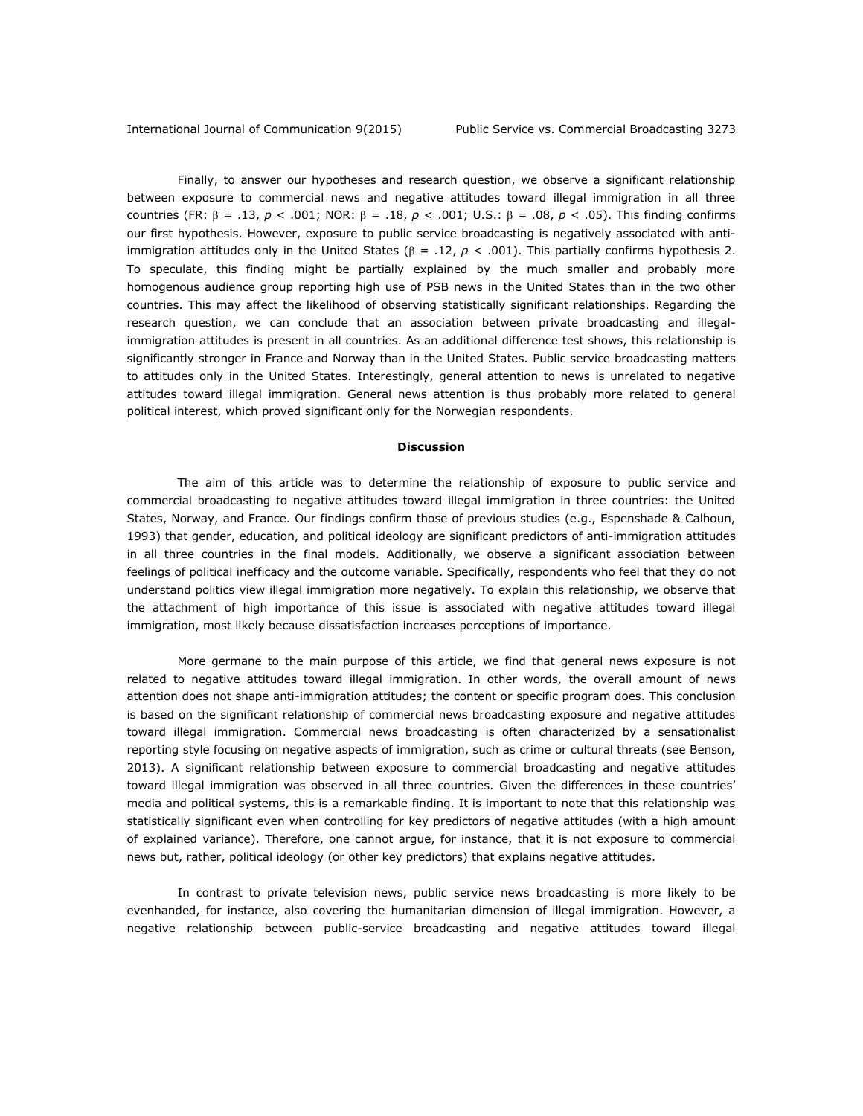Finally, to answer our hypotheses and research question, we observe a significant relationship between exposure to commercial news and negative attitudes toward illegal immigration in all three countries (FR:  $\beta = .13$ ,  $p < .001$ ; NOR:  $\beta = .18$ ,  $p < .001$ ; U.S.:  $\beta = .08$ ,  $p < .05$ ). This finding confirms our first hypothesis. However, exposure to public service broadcasting is negatively associated with antiimmigration attitudes only in the United States ( $\beta = .12$ ,  $p < .001$ ). This partially confirms hypothesis 2. To speculate, this finding might be partially explained by the much smaller and probably more homogenous audience group reporting high use of PSB news in the United States than in the two other countries. This may affect the likelihood of observing statistically significant relationships. Regarding the research question, we can conclude that an association between private broadcasting and illegalimmigration attitudes is present in all countries. As an additional difference test shows, this relationship is significantly stronger in France and Norway than in the United States. Public service broadcasting matters to attitudes only in the United States. Interestingly, general attention to news is unrelated to negative attitudes toward illegal immigration. General news attention is thus probably more related to general political interest, which proved significant only for the Norwegian respondents.

#### **Discussion**

The aim of this article was to determine the relationship of exposure to public service and commercial broadcasting to negative attitudes toward illegal immigration in three countries: the United States, Norway, and France. Our findings confirm those of previous studies (e.g., Espenshade & Calhoun, 1993) that gender, education, and political ideology are significant predictors of anti-immigration attitudes in all three countries in the final models. Additionally, we observe a significant association between feelings of political inefficacy and the outcome variable. Specifically, respondents who feel that they do not understand politics view illegal immigration more negatively. To explain this relationship, we observe that the attachment of high importance of this issue is associated with negative attitudes toward illegal immigration, most likely because dissatisfaction increases perceptions of importance.

More germane to the main purpose of this article, we find that general news exposure is not related to negative attitudes toward illegal immigration. In other words, the overall amount of news attention does not shape anti-immigration attitudes; the content or specific program does. This conclusion is based on the significant relationship of commercial news broadcasting exposure and negative attitudes toward illegal immigration. Commercial news broadcasting is often characterized by a sensationalist reporting style focusing on negative aspects of immigration, such as crime or cultural threats (see Benson, 2013). A significant relationship between exposure to commercial broadcasting and negative attitudes toward illegal immigration was observed in all three countries. Given the differences in these countries' media and political systems, this is a remarkable finding. It is important to note that this relationship was statistically significant even when controlling for key predictors of negative attitudes (with a high amount of explained variance). Therefore, one cannot argue, for instance, that it is not exposure to commercial news but, rather, political ideology (or other key predictors) that explains negative attitudes.

In contrast to private television news, public service news broadcasting is more likely to be evenhanded, for instance, also covering the humanitarian dimension of illegal immigration. However, a negative relationship between public-service broadcasting and negative attitudes toward illegal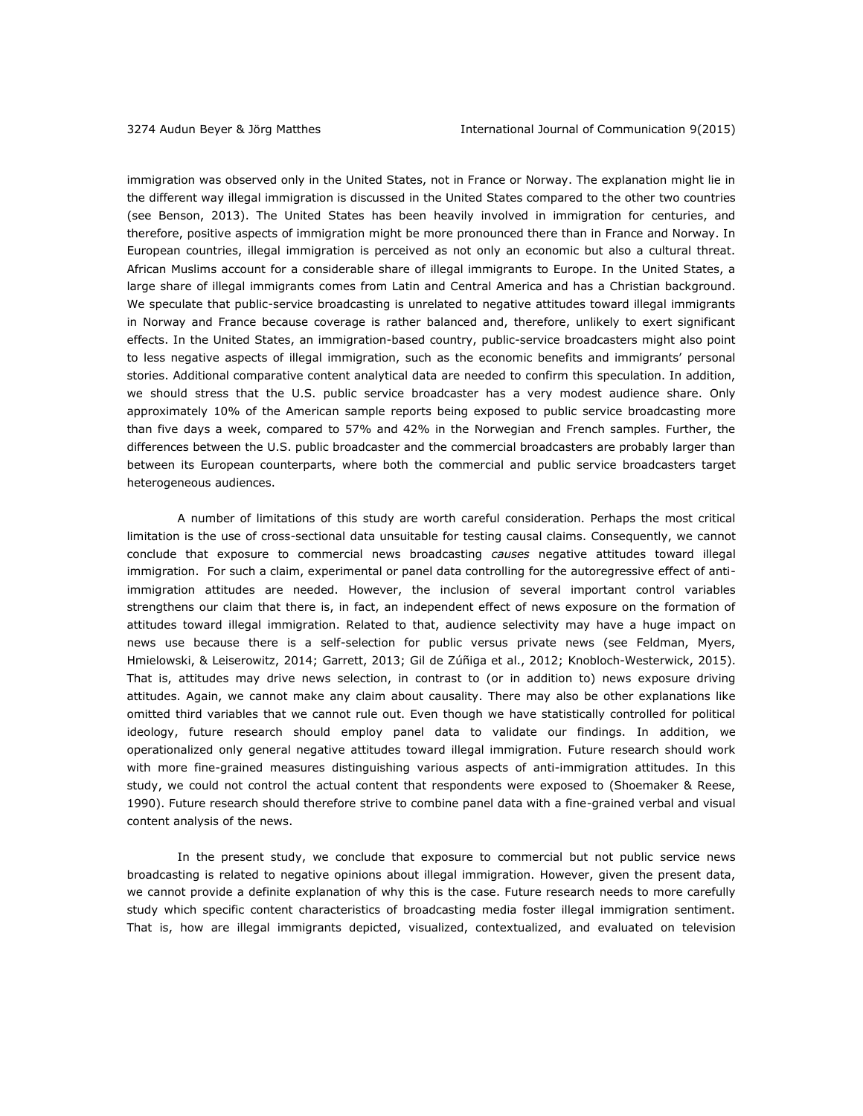immigration was observed only in the United States, not in France or Norway. The explanation might lie in the different way illegal immigration is discussed in the United States compared to the other two countries (see Benson, 2013). The United States has been heavily involved in immigration for centuries, and therefore, positive aspects of immigration might be more pronounced there than in France and Norway. In European countries, illegal immigration is perceived as not only an economic but also a cultural threat. African Muslims account for a considerable share of illegal immigrants to Europe. In the United States, a large share of illegal immigrants comes from Latin and Central America and has a Christian background. We speculate that public-service broadcasting is unrelated to negative attitudes toward illegal immigrants in Norway and France because coverage is rather balanced and, therefore, unlikely to exert significant effects. In the United States, an immigration-based country, public-service broadcasters might also point to less negative aspects of illegal immigration, such as the economic benefits and immigrants' personal stories. Additional comparative content analytical data are needed to confirm this speculation. In addition, we should stress that the U.S. public service broadcaster has a very modest audience share. Only approximately 10% of the American sample reports being exposed to public service broadcasting more than five days a week, compared to 57% and 42% in the Norwegian and French samples. Further, the differences between the U.S. public broadcaster and the commercial broadcasters are probably larger than between its European counterparts, where both the commercial and public service broadcasters target heterogeneous audiences.

A number of limitations of this study are worth careful consideration. Perhaps the most critical limitation is the use of cross-sectional data unsuitable for testing causal claims. Consequently, we cannot conclude that exposure to commercial news broadcasting *causes* negative attitudes toward illegal immigration. For such a claim, experimental or panel data controlling for the autoregressive effect of antiimmigration attitudes are needed. However, the inclusion of several important control variables strengthens our claim that there is, in fact, an independent effect of news exposure on the formation of attitudes toward illegal immigration. Related to that, audience selectivity may have a huge impact on news use because there is a self-selection for public versus private news (see Feldman, Myers, Hmielowski, & Leiserowitz, 2014; Garrett, 2013; Gil de Zúñiga et al., 2012; Knobloch-Westerwick, 2015). That is, attitudes may drive news selection, in contrast to (or in addition to) news exposure driving attitudes. Again, we cannot make any claim about causality. There may also be other explanations like omitted third variables that we cannot rule out. Even though we have statistically controlled for political ideology, future research should employ panel data to validate our findings. In addition, we operationalized only general negative attitudes toward illegal immigration. Future research should work with more fine-grained measures distinguishing various aspects of anti-immigration attitudes. In this study, we could not control the actual content that respondents were exposed to (Shoemaker & Reese, 1990). Future research should therefore strive to combine panel data with a fine-grained verbal and visual content analysis of the news.

In the present study, we conclude that exposure to commercial but not public service news broadcasting is related to negative opinions about illegal immigration. However, given the present data, we cannot provide a definite explanation of why this is the case. Future research needs to more carefully study which specific content characteristics of broadcasting media foster illegal immigration sentiment. That is, how are illegal immigrants depicted, visualized, contextualized, and evaluated on television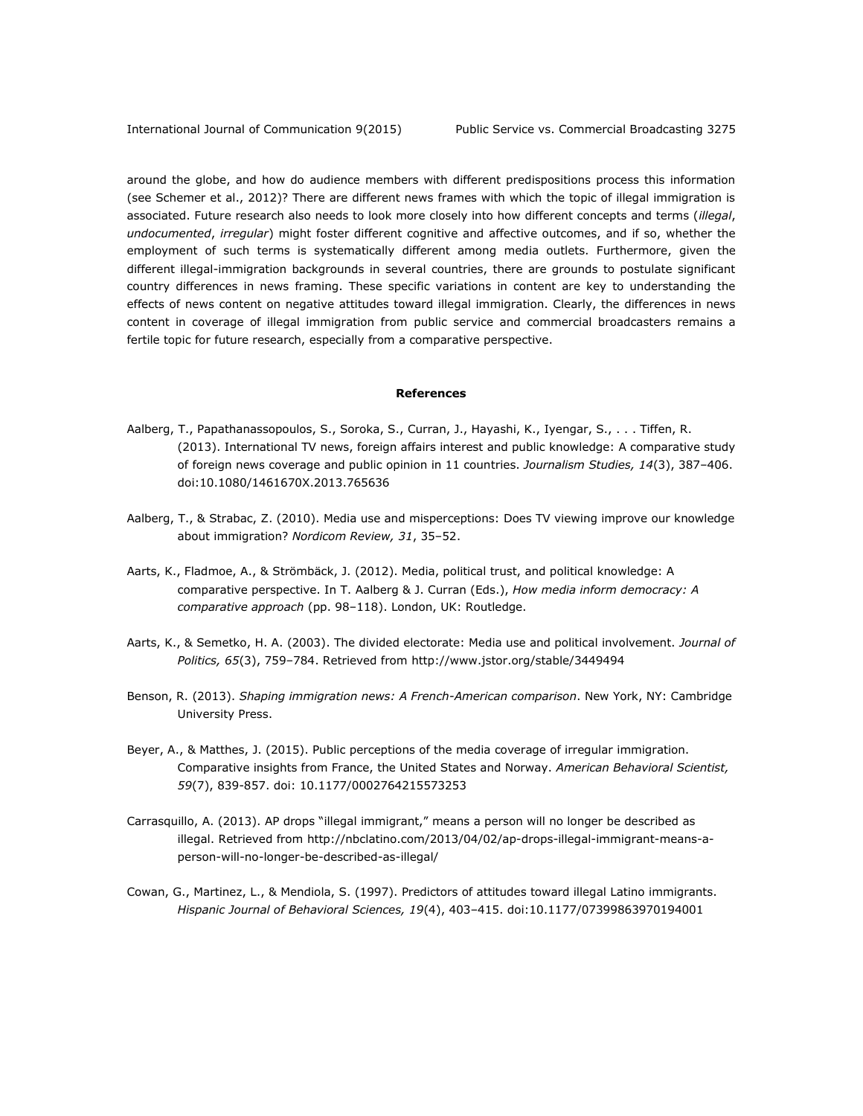around the globe, and how do audience members with different predispositions process this information (see Schemer et al., 2012)? There are different news frames with which the topic of illegal immigration is associated. Future research also needs to look more closely into how different concepts and terms (*illegal*, *undocumented*, *irregular*) might foster different cognitive and affective outcomes, and if so, whether the employment of such terms is systematically different among media outlets. Furthermore, given the different illegal-immigration backgrounds in several countries, there are grounds to postulate significant country differences in news framing. These specific variations in content are key to understanding the effects of news content on negative attitudes toward illegal immigration. Clearly, the differences in news content in coverage of illegal immigration from public service and commercial broadcasters remains a fertile topic for future research, especially from a comparative perspective.

### **References**

- Aalberg, T., Papathanassopoulos, S., Soroka, S., Curran, J., Hayashi, K., Iyengar, S., . . . Tiffen, R. (2013). International TV news, foreign affairs interest and public knowledge: A comparative study of foreign news coverage and public opinion in 11 countries. *Journalism Studies, 14*(3), 387–406. doi:10.1080/1461670X.2013.765636
- Aalberg, T., & Strabac, Z. (2010). Media use and misperceptions: Does TV viewing improve our knowledge about immigration? *Nordicom Review, 31*, 35–52.
- Aarts, K., Fladmoe, A., & Strömbäck, J. (2012). Media, political trust, and political knowledge: A comparative perspective. In T. Aalberg & J. Curran (Eds.), *How media inform democracy: A comparative approach* (pp. 98–118). London, UK: Routledge.
- Aarts, K., & Semetko, H. A. (2003). The divided electorate: Media use and political involvement. *Journal of Politics, 65*(3), 759–784. Retrieved from<http://www.jstor.org/stable/3449494>
- Benson, R. (2013). *Shaping immigration news: A French-American comparison*. New York, NY: Cambridge University Press.
- Beyer, A., & Matthes, J. (2015). Public perceptions of the media coverage of irregular immigration. Comparative insights from France, the United States and Norway. *American Behavioral Scientist, 59*(7), 839-857. doi: 10.1177/0002764215573253
- Carrasquillo, A. (2013). AP drops "illegal immigrant," means a person will no longer be described as illegal. Retrieved from [http://nbclatino.com/2013/04/02/ap-drops-illegal-immigrant-means-a](http://nbclatino.com/2013/04/02/ap-drops-illegal-immigrant-means-a-person-will-no-longer-be-described-as-illegal/)[person-will-no-longer-be-described-as-illegal/](http://nbclatino.com/2013/04/02/ap-drops-illegal-immigrant-means-a-person-will-no-longer-be-described-as-illegal/)
- Cowan, G., Martinez, L., & Mendiola, S. (1997). Predictors of attitudes toward illegal Latino immigrants. *Hispanic Journal of Behavioral Sciences, 19*(4), 403–415. doi:10.1177/07399863970194001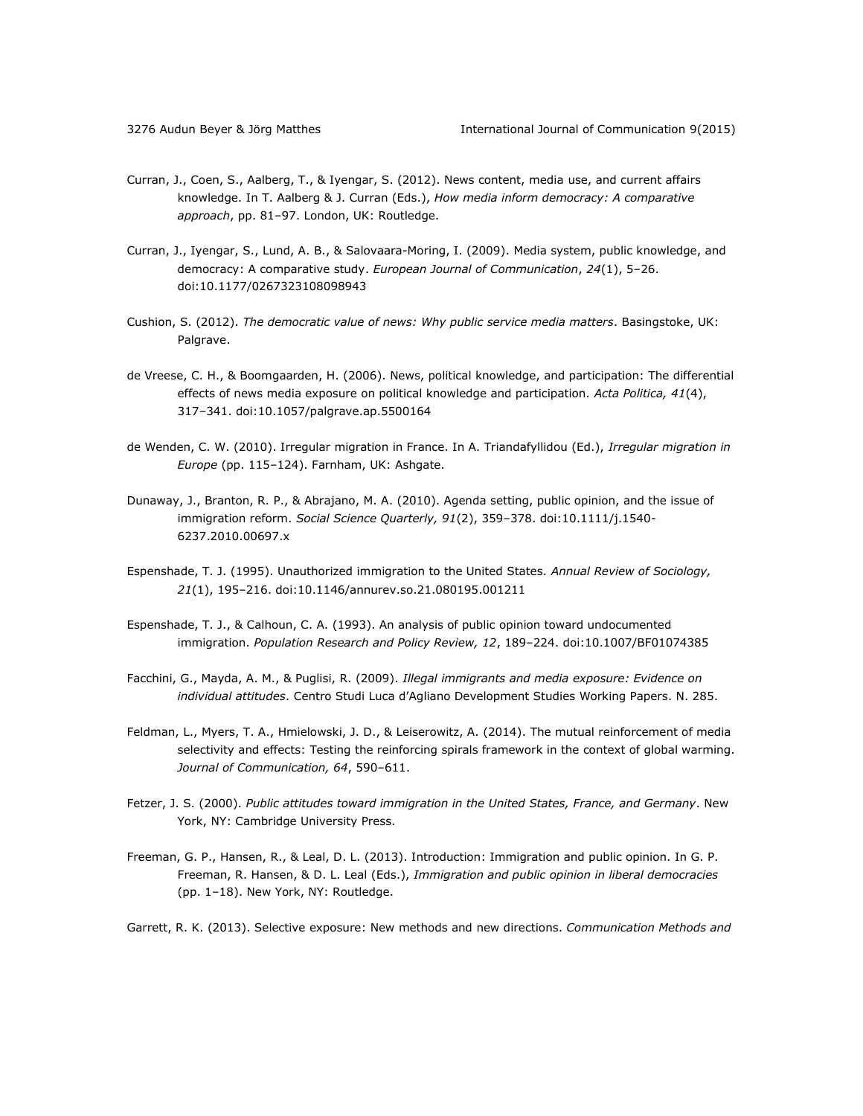- Curran, J., Coen, S., Aalberg, T., & Iyengar, S. (2012). News content, media use, and current affairs knowledge. In T. Aalberg & J. Curran (Eds.), *How media inform democracy: A comparative approach*, pp. 81–97. London, UK: Routledge.
- Curran, J., Iyengar, S[., Lund, A. B.,](http://research.cbs.dk/portal/en/persons/anker-brink-lund(2ca7057e-6eab-45b9-8357-d6c51b349e4e)/publications.html) & Salovaara-Moring, I. (2009). [Media system, public knowledge, and](http://research.cbs.dk/portal/en/publications/media-system-public-knowledge-and-democracy(bf641a80-80b8-11de-8153-000ea68e967b).html)  [democracy: A comparative study.](http://research.cbs.dk/portal/en/publications/media-system-public-knowledge-and-democracy(bf641a80-80b8-11de-8153-000ea68e967b).html) *European Journal of Communication*, *24*(1), 5–26. doi:10.1177/0267323108098943
- Cushion, S. (2012). *The democratic value of news: Why public service media matters*. Basingstoke, UK: Palgrave.
- de Vreese, C. H., & Boomgaarden, H. (2006). News, political knowledge, and participation: The differential effects of news media exposure on political knowledge and participation. *Acta Politica, 41*(4), 317–341. doi:10.1057/palgrave.ap.5500164
- de Wenden, C. W. (2010). Irregular migration in France. In A. Triandafyllidou (Ed.), *Irregular migration in Europe* (pp. 115–124). Farnham, UK: Ashgate.
- Dunaway, J., Branton, R. P., & Abrajano, M. A. (2010). Agenda setting, public opinion, and the issue of immigration reform. *Social Science Quarterly, 91*(2), 359–378. doi:10.1111/j.1540- 6237.2010.00697.x
- Espenshade, T. J. (1995). Unauthorized immigration to the United States. *Annual Review of Sociology, 21*(1), 195–216. doi:10.1146/annurev.so.21.080195.001211
- Espenshade, T. J., & Calhoun, C. A. (1993). An analysis of public opinion toward undocumented immigration. *Population Research and Policy Review, 12*, 189–224. doi:10.1007/BF01074385
- Facchini, G., Mayda, A. M., & Puglisi, R. (2009). *Illegal immigrants and media exposure: Evidence on individual attitudes*. Centro Studi Luca d'Agliano Development Studies Working Papers. N. 285.
- Feldman, L., Myers, T. A., Hmielowski, J. D., & Leiserowitz, A. (2014). The mutual reinforcement of media selectivity and effects: Testing the reinforcing spirals framework in the context of global warming. *Journal of Communication, 64*, 590–611.
- Fetzer, J. S. (2000). *Public attitudes toward immigration in the United States, France, and Germany*. New York, NY: Cambridge University Press.
- Freeman, G. P., Hansen, R., & Leal, D. L. (2013). Introduction: Immigration and public opinion. In G. P. Freeman, R. Hansen, & D. L. Leal (Eds.), *Immigration and public opinion in liberal democracies* (pp. 1–18). New York, NY: Routledge.

Garrett, R. K. (2013). Selective exposure: New methods and new directions. *Communication Methods and*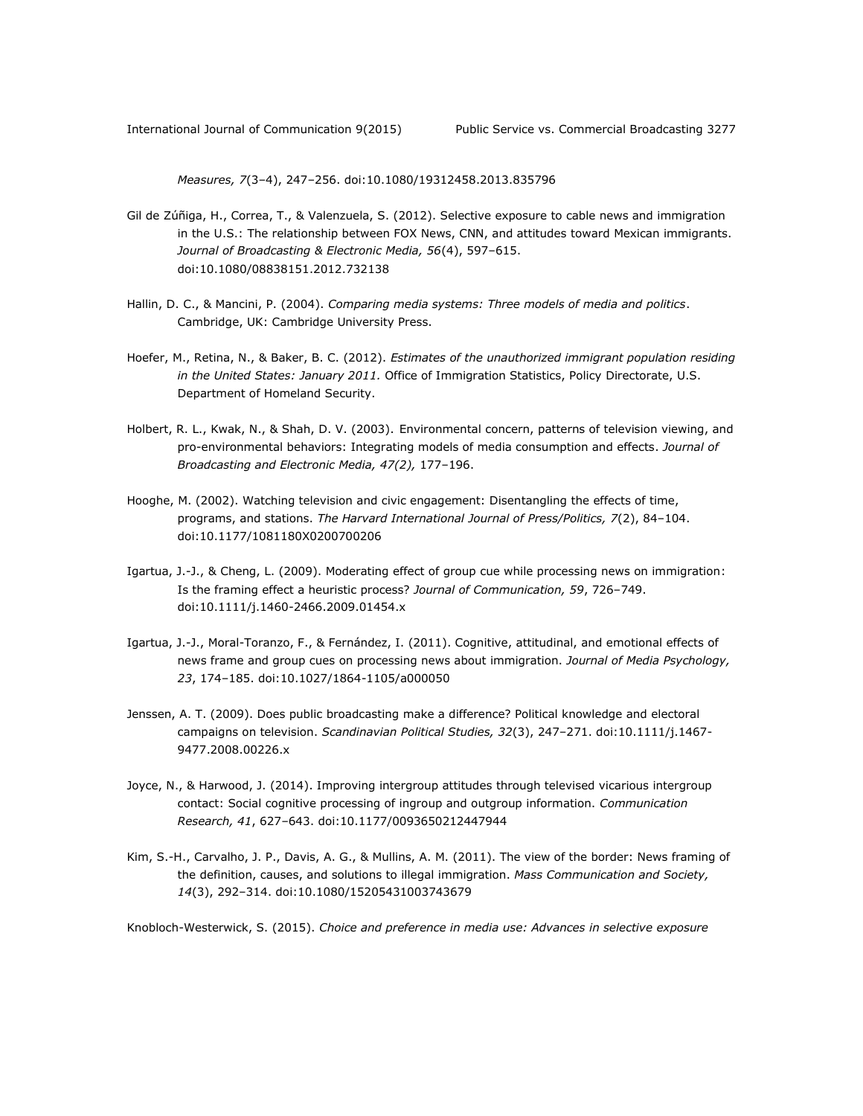*Measures, 7*(3–4), 247–256. doi:10.1080/19312458.2013.835796

- Gil de Zúñiga, H., Correa, T., & Valenzuela, S. (2012). Selective exposure to cable news and immigration in the U.S.: The relationship between FOX News, CNN, and attitudes toward Mexican immigrants. *Journal of Broadcasting & Electronic Media, 56*(4), 597–615. doi:10.1080/08838151.2012.732138
- Hallin, D. C., & Mancini, P. (2004). *Comparing media systems: Three models of media and politics*. Cambridge, UK: Cambridge University Press.
- Hoefer, M., Retina, N., & Baker, B. C. (2012). *Estimates of the unauthorized immigrant population residing in the United States: January 2011.* Office of Immigration Statistics, Policy Directorate, U.S. Department of Homeland Security.
- Holbert, R. L., Kwak, N., & Shah, D. V. (2003). Environmental concern, patterns of television viewing, and pro-environmental behaviors: Integrating models of media consumption and effects. *Journal of Broadcasting and Electronic Media, 47(2),* 177–196.
- Hooghe, M. (2002). Watching television and civic engagement: Disentangling the effects of time, programs, and stations. *The Harvard International Journal of Press/Politics, 7*(2), 84–104. doi:10.1177/1081180X0200700206
- Igartua, J.-J., & Cheng, L. (2009). Moderating effect of group cue while processing news on immigration: Is the framing effect a heuristic process? *Journal of Communication, 59*, 726–749. doi:10.1111/j.1460-2466.2009.01454.x
- Igartua, J.-J., Moral-Toranzo, F., & Fernández, I. (2011). Cognitive, attitudinal, and emotional effects of news frame and group cues on processing news about immigration. *Journal of Media Psychology, 23*, 174–185. doi:10.1027/1864-1105/a000050
- Jenssen, A. T. (2009). Does public broadcasting make a difference? Political knowledge and electoral campaigns on television. *Scandinavian Political Studies, 32*(3), 247–271. doi:10.1111/j.1467- 9477.2008.00226.x
- Joyce, N., & Harwood, J. (2014). Improving intergroup attitudes through televised vicarious intergroup contact: Social cognitive processing of ingroup and outgroup information. *Communication Research, 41*, 627–643. doi:10.1177/0093650212447944
- Kim, S.-H., Carvalho, J. P., Davis, A. G., & Mullins, A. M. (2011). The view of the border: News framing of the definition, causes, and solutions to illegal immigration. *Mass Communication and Society, 14*(3), 292–314. doi:10.1080/15205431003743679

Knobloch-Westerwick, S. (2015). *Choice and preference in media use: Advances in selective exposure*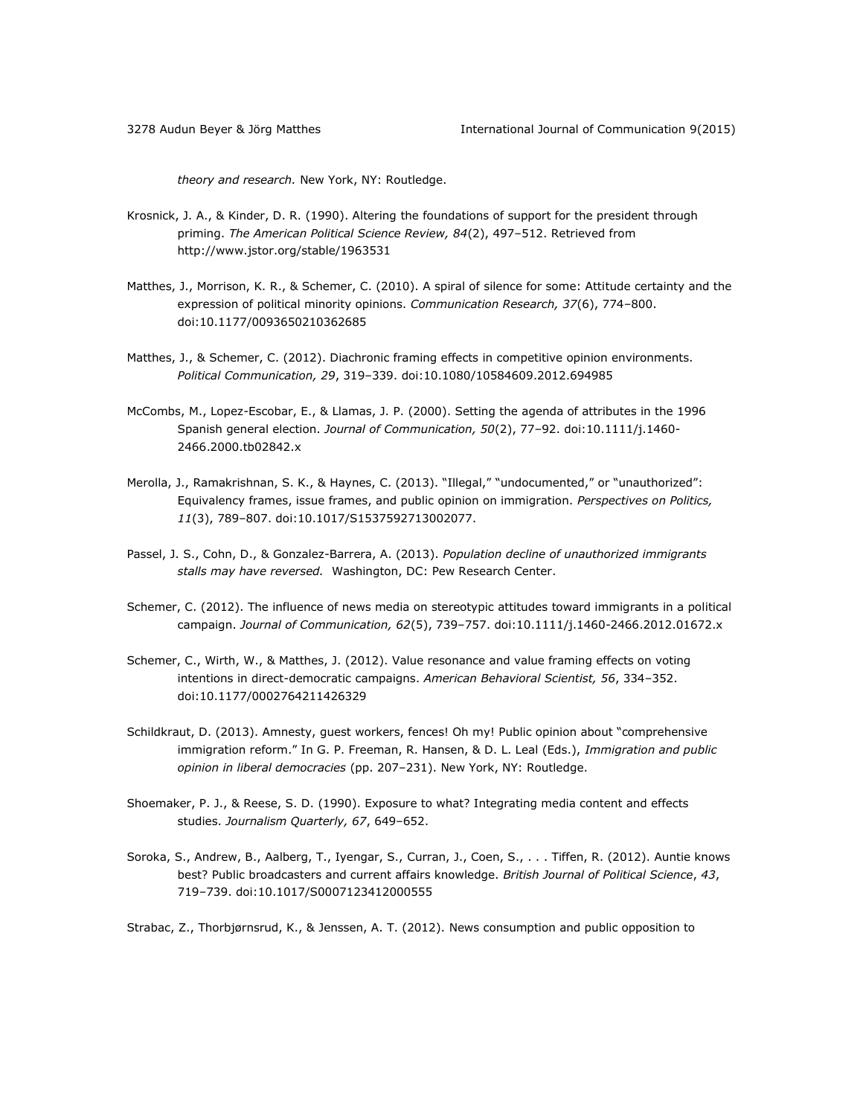*theory and research.* New York, NY: Routledge.

- Krosnick, J. A., & Kinder, D. R. (1990). Altering the foundations of support for the president through priming. *The American Political Science Review, 84*(2), 497–512. Retrieved from <http://www.jstor.org/stable/1963531>
- Matthes, J., Morrison, K. R., & Schemer, C. (2010). A spiral of silence for some: Attitude certainty and the expression of political minority opinions. *Communication Research, 37*(6), 774–800. doi:10.1177/0093650210362685
- Matthes, J., & Schemer, C. (2012). Diachronic framing effects in competitive opinion environments. *Political Communication, 29*, 319–339. doi:10.1080/10584609.2012.694985
- McCombs, M., Lopez-Escobar, E., & Llamas, J. P. (2000). Setting the agenda of attributes in the 1996 Spanish general election. *Journal of Communication, 50*(2), 77–92. doi:10.1111/j.1460- 2466.2000.tb02842.x
- Merolla, J., Ramakrishnan, S. K., & Haynes, C. (2013). "Illegal," "undocumented," or "unauthorized": Equivalency frames, issue frames, and public opinion on immigration. *Perspectives on Politics, 11*(3), 789–807. doi:10.1017/S1537592713002077.
- Passel, J. S., Cohn, D., & Gonzalez-Barrera, A. (2013). *Population decline of unauthorized immigrants stalls may have reversed.* Washington, DC: Pew Research Center.
- Schemer, C. (2012). The influence of news media on stereotypic attitudes toward immigrants in a political campaign. *Journal of Communication, 62*(5), 739–757. doi:10.1111/j.1460-2466.2012.01672.x
- Schemer, C., Wirth, W., & Matthes, J. (2012). Value resonance and value framing effects on voting intentions in direct-democratic campaigns. *American Behavioral Scientist, 56*, 334–352. doi:10.1177/0002764211426329
- Schildkraut, D. (2013). Amnesty, guest workers, fences! Oh my! Public opinion about "comprehensive immigration reform." In G. P. Freeman, R. Hansen, & D. L. Leal (Eds.), *Immigration and public opinion in liberal democracies* (pp. 207–231). New York, NY: Routledge.
- Shoemaker, P. J., & Reese, S. D. (1990). Exposure to what? Integrating media content and effects studies. *Journalism Quarterly, 67*, 649–652.
- Soroka, S., Andrew, B., Aalberg, T., Iyengar, S., Curran, J., Coen, S., . . . Tiffen, R. (2012). Auntie knows best? Public broadcasters and current affairs knowledge. *British Journal of Political Science*, *43*, 719–739. doi:10.1017/S0007123412000555

Strabac, Z., Thorbjørnsrud, K., & Jenssen, A. T. (2012). News consumption and public opposition to